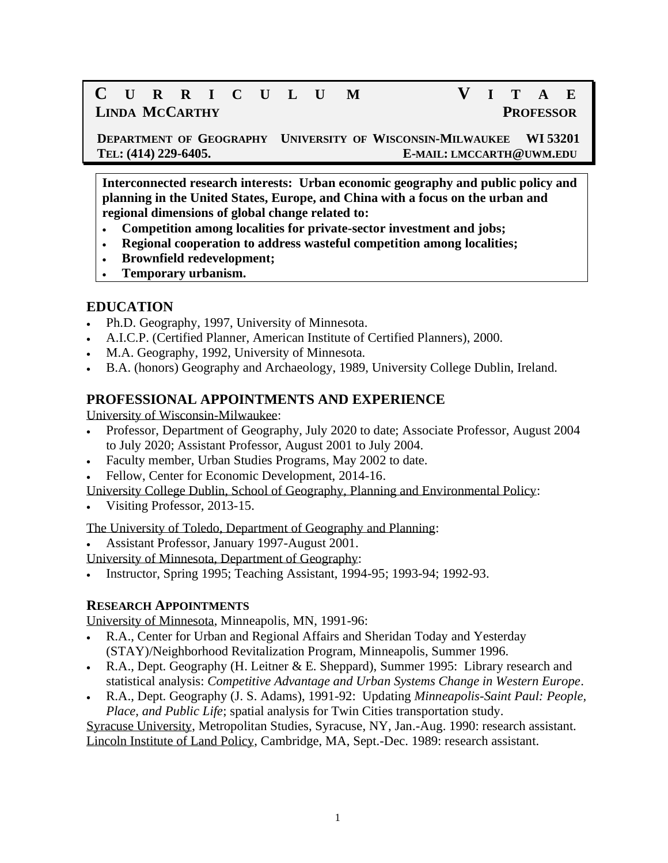# **C U R R I C U L U M V I T A E LINDA MCCARTHY PROFESSOR**

 **DEPARTMENT OF GEOGRAPHY UNIVERSITY OF WISCONSIN-MILWAUKEE WI 53201 TEL: (414) 229-6405. E-MAIL: LMCCARTH@UWM.EDU**

**Interconnected research interests: Urban economic geography and public policy and planning in the United States, Europe, and China with a focus on the urban and regional dimensions of global change related to:**

- **Competition among localities for private-sector investment and jobs;**
- **Regional cooperation to address wasteful competition among localities;**
- **Brownfield redevelopment;**
- **Temporary urbanism.**

### **EDUCATION**

- Ph.D. Geography, 1997, University of Minnesota.
- A.I.C.P. (Certified Planner, American Institute of Certified Planners), 2000.
- M.A. Geography, 1992, University of Minnesota.
- B.A. (honors) Geography and Archaeology, 1989, University College Dublin, Ireland.

## **PROFESSIONAL APPOINTMENTS AND EXPERIENCE**

University of Wisconsin-Milwaukee:

- Professor, Department of Geography, July 2020 to date; Associate Professor, August 2004 to July 2020; Assistant Professor, August 2001 to July 2004.
- Faculty member, Urban Studies Programs, May 2002 to date.
- Fellow, Center for Economic Development, 2014-16.

University College Dublin, School of Geography, Planning and Environmental Policy:

• Visiting Professor, 2013-15.

The University of Toledo, Department of Geography and Planning:

• Assistant Professor, January 1997-August 2001.

University of Minnesota, Department of Geography:

• Instructor, Spring 1995; Teaching Assistant, 1994-95; 1993-94; 1992-93.

### **RESEARCH APPOINTMENTS**

University of Minnesota, Minneapolis, MN, 1991-96:

- R.A., Center for Urban and Regional Affairs and Sheridan Today and Yesterday (STAY)/Neighborhood Revitalization Program, Minneapolis, Summer 1996.
- R.A., Dept. Geography (H. Leitner & E. Sheppard), Summer 1995: Library research and statistical analysis: *Competitive Advantage and Urban Systems Change in Western Europe*.
- R.A., Dept. Geography (J. S. Adams), 1991-92: Updating *Minneapolis-Saint Paul: People, Place, and Public Life*; spatial analysis for Twin Cities transportation study.

Syracuse University, Metropolitan Studies, Syracuse, NY, Jan.-Aug. 1990: research assistant. Lincoln Institute of Land Policy, Cambridge, MA, Sept.-Dec. 1989: research assistant.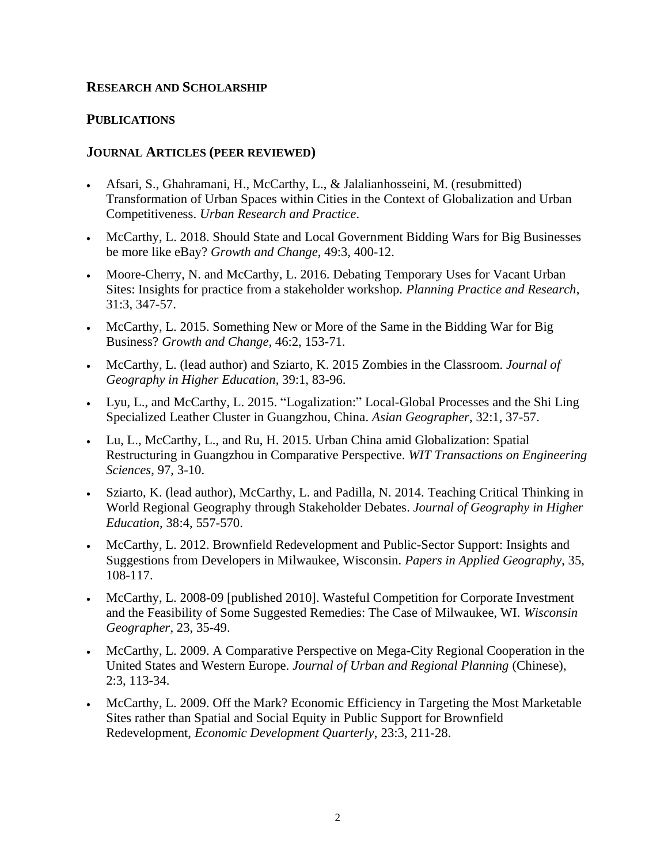#### **RESEARCH AND SCHOLARSHIP**

#### **PUBLICATIONS**

#### **JOURNAL ARTICLES (PEER REVIEWED)**

- Afsari, S., Ghahramani, H., McCarthy, L., & Jalalianhosseini, M. (resubmitted) Transformation of Urban Spaces within Cities in the Context of Globalization and Urban Competitiveness. *Urban Research and Practice*.
- McCarthy, L. 2018. Should State and Local Government Bidding Wars for Big Businesses be more like eBay? *Growth and Change*, 49:3, 400-12.
- Moore-Cherry, N. and McCarthy, L. 2016. Debating Temporary Uses for Vacant Urban Sites: Insights for practice from a stakeholder workshop. *Planning Practice and Research*, 31:3, 347-57.
- McCarthy, L. 2015. Something New or More of the Same in the Bidding War for Big Business? *Growth and Change*, 46:2, 153-71.
- McCarthy, L. (lead author) and Sziarto, K. 2015 Zombies in the Classroom. *Journal of Geography in Higher Education*, 39:1, 83-96.
- Lyu, L., and McCarthy, L. 2015. "Logalization:" Local-Global Processes and the Shi Ling Specialized Leather Cluster in Guangzhou, China. *Asian Geographer*, 32:1, 37-57.
- Lu, L., McCarthy, L., and Ru, H. 2015. Urban China amid Globalization: Spatial Restructuring in Guangzhou in Comparative Perspective. *WIT Transactions on Engineering Sciences*, 97, 3-10.
- Sziarto, K. (lead author), McCarthy, L. and Padilla, N. 2014. Teaching Critical Thinking in World Regional Geography through Stakeholder Debates. *Journal of Geography in Higher Education*, 38:4, 557-570.
- McCarthy, L. 2012. Brownfield Redevelopment and Public-Sector Support: Insights and Suggestions from Developers in Milwaukee, Wisconsin. *Papers in Applied Geography*, 35, 108-117.
- McCarthy, L. 2008-09 [published 2010]. Wasteful Competition for Corporate Investment and the Feasibility of Some Suggested Remedies: The Case of Milwaukee, WI. *Wisconsin Geographer*, 23, 35-49.
- McCarthy, L. 2009. A Comparative Perspective on Mega-City Regional Cooperation in the United States and Western Europe. *Journal of Urban and Regional Planning* (Chinese), 2:3, 113-34.
- McCarthy, L. 2009. Off the Mark? Economic Efficiency in Targeting the Most Marketable Sites rather than Spatial and Social Equity in Public Support for Brownfield Redevelopment, *Economic Development Quarterly*, 23:3, 211-28.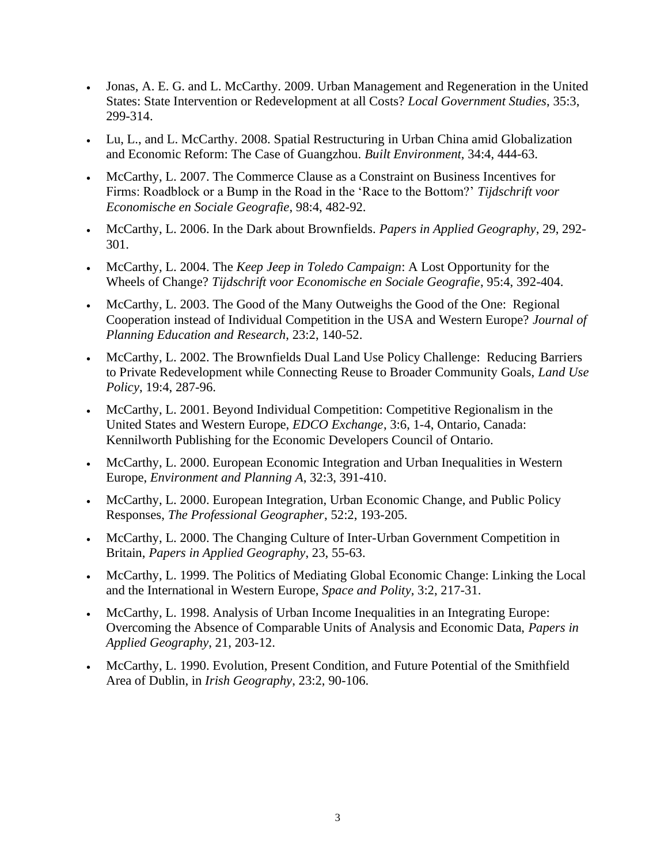- Jonas, A. E. G. and L. McCarthy. 2009. Urban Management and Regeneration in the United States: State Intervention or Redevelopment at all Costs? *Local Government Studies*, 35:3, 299-314.
- Lu, L., and L. McCarthy. 2008. Spatial Restructuring in Urban China amid Globalization and Economic Reform: The Case of Guangzhou. *Built Environment*, 34:4, 444-63.
- McCarthy, L. 2007. The Commerce Clause as a Constraint on Business Incentives for Firms: Roadblock or a Bump in the Road in the 'Race to the Bottom?' *Tijdschrift voor Economische en Sociale Geografie*, 98:4, 482-92.
- McCarthy, L. 2006. In the Dark about Brownfields. *Papers in Applied Geography*, 29, 292- 301.
- McCarthy, L. 2004. The *Keep Jeep in Toledo Campaign*: A Lost Opportunity for the Wheels of Change? *Tijdschrift voor Economische en Sociale Geografie*, 95:4, 392-404.
- McCarthy, L. 2003. The Good of the Many Outweighs the Good of the One: Regional Cooperation instead of Individual Competition in the USA and Western Europe? *Journal of Planning Education and Research*, 23:2, 140-52.
- McCarthy, L. 2002. The Brownfields Dual Land Use Policy Challenge: Reducing Barriers to Private Redevelopment while Connecting Reuse to Broader Community Goals, *Land Use Policy*, 19:4, 287-96.
- McCarthy, L. 2001. Beyond Individual Competition: Competitive Regionalism in the United States and Western Europe, *EDCO Exchange*, 3:6, 1-4, Ontario, Canada: Kennilworth Publishing for the Economic Developers Council of Ontario.
- McCarthy, L. 2000. European Economic Integration and Urban Inequalities in Western Europe, *Environment and Planning A*, 32:3, 391-410.
- McCarthy, L. 2000. European Integration, Urban Economic Change, and Public Policy Responses, *The Professional Geographer*, 52:2, 193-205.
- McCarthy, L. 2000. The Changing Culture of Inter-Urban Government Competition in Britain, *Papers in Applied Geography*, 23, 55-63.
- McCarthy, L. 1999. The Politics of Mediating Global Economic Change: Linking the Local and the International in Western Europe, *Space and Polity*, 3:2, 217-31.
- McCarthy, L. 1998. Analysis of Urban Income Inequalities in an Integrating Europe: Overcoming the Absence of Comparable Units of Analysis and Economic Data, *Papers in Applied Geography*, 21, 203-12.
- McCarthy, L. 1990. Evolution, Present Condition, and Future Potential of the Smithfield Area of Dublin, in *Irish Geography*, 23:2, 90-106.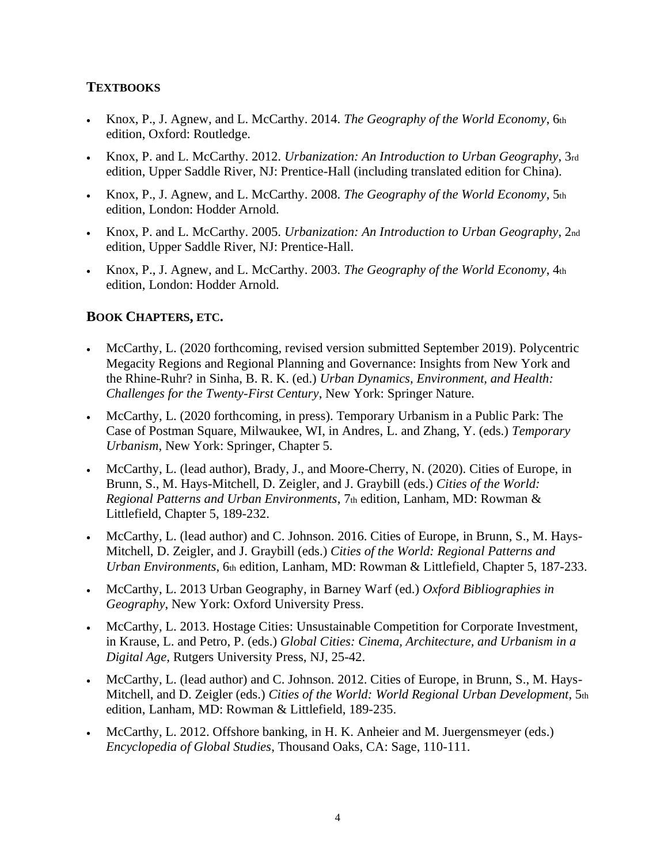### **TEXTBOOKS**

- Knox, P., J. Agnew, and L. McCarthy. 2014. *The Geography of the World Economy*, 6th edition, Oxford: Routledge.
- Knox, P. and L. McCarthy. 2012. *Urbanization: An Introduction to Urban Geography*, 3rd edition, Upper Saddle River, NJ: Prentice-Hall (including translated edition for China).
- Knox, P., J. Agnew, and L. McCarthy. 2008. *The Geography of the World Economy*, 5th edition, London: Hodder Arnold.
- Knox, P. and L. McCarthy. 2005. *Urbanization: An Introduction to Urban Geography*, 2nd edition, Upper Saddle River, NJ: Prentice-Hall.
- Knox, P., J. Agnew, and L. McCarthy. 2003. *The Geography of the World Economy*, 4th edition, London: Hodder Arnold.

## **BOOK CHAPTERS, ETC.**

- McCarthy, L. (2020 forthcoming, revised version submitted September 2019). Polycentric Megacity Regions and Regional Planning and Governance: Insights from New York and the Rhine-Ruhr? in Sinha, B. R. K. (ed.) *Urban Dynamics, Environment, and Health: Challenges for the Twenty-First Century*, New York: Springer Nature.
- McCarthy, L. (2020 forthcoming, in press). Temporary Urbanism in a Public Park: The Case of Postman Square, Milwaukee, WI, in Andres, L. and Zhang, Y. (eds.) *Temporary Urbanism*, New York: Springer, Chapter 5.
- McCarthy, L. (lead author), Brady, J., and Moore-Cherry, N. (2020). Cities of Europe, in Brunn, S., M. Hays-Mitchell, D. Zeigler, and J. Graybill (eds.) *Cities of the World: Regional Patterns and Urban Environments*, 7th edition, Lanham, MD: Rowman & Littlefield, Chapter 5, 189-232.
- McCarthy, L. (lead author) and C. Johnson. 2016. Cities of Europe, in Brunn, S., M. Hays-Mitchell, D. Zeigler, and J. Graybill (eds.) *Cities of the World: Regional Patterns and Urban Environments*, 6th edition, Lanham, MD: Rowman & Littlefield, Chapter 5, 187-233.
- McCarthy, L. 2013 Urban Geography, in Barney Warf (ed.) *Oxford Bibliographies in Geography*, New York: Oxford University Press.
- McCarthy, L. 2013. Hostage Cities: Unsustainable Competition for Corporate Investment, in Krause, L. and Petro, P. (eds.) *Global Cities: Cinema, Architecture, and Urbanism in a Digital Age,* Rutgers University Press, NJ, 25-42.
- McCarthy, L. (lead author) and C. Johnson. 2012. Cities of Europe, in Brunn, S., M. Hays-Mitchell, and D. Zeigler (eds.) *Cities of the World: World Regional Urban Development*, 5th edition, Lanham, MD: Rowman & Littlefield, 189-235.
- McCarthy, L. 2012. Offshore banking, in H. K. Anheier and M. Juergensmeyer (eds.) *Encyclopedia of Global Studies*, Thousand Oaks, CA: Sage, 110-111.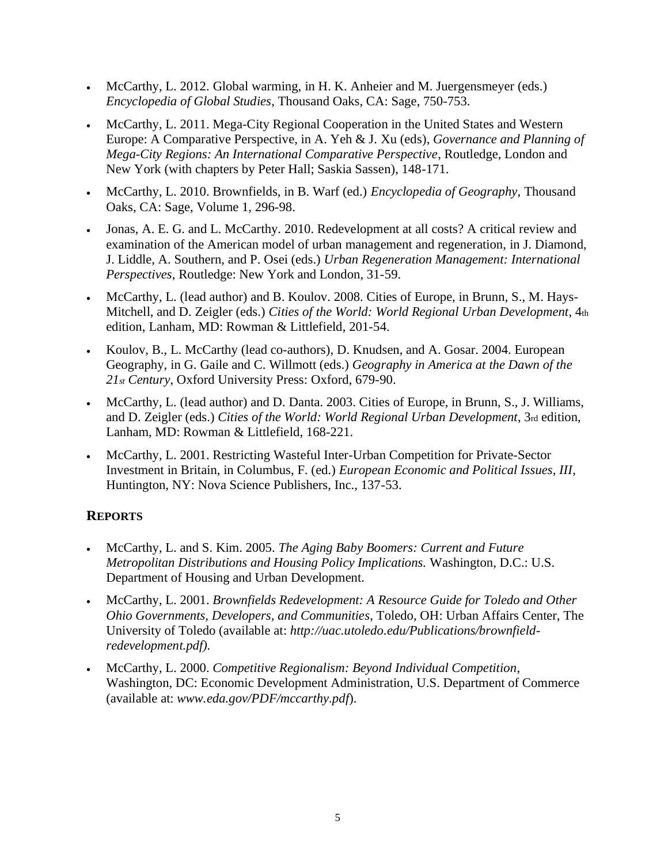- McCarthy, L. 2012. Global warming, in H. K. Anheier and M. Juergensmeyer (eds.) *Encyclopedia of Global Studies*, Thousand Oaks, CA: Sage, 750-753.
- McCarthy, L. 2011. Mega-City Regional Cooperation in the United States and Western Europe: A Comparative Perspective, in A. Yeh & J. Xu (eds), *Governance and Planning of Mega-City Regions: An International Comparative Perspective*, Routledge, London and New York (with chapters by Peter Hall; Saskia Sassen), 148-171.
- McCarthy, L. 2010. Brownfields, in B. Warf (ed.) *Encyclopedia of Geography*, Thousand Oaks, CA: Sage, Volume 1, 296-98.
- Jonas, A. E. G. and L. McCarthy. 2010. Redevelopment at all costs? A critical review and examination of the American model of urban management and regeneration, in J. Diamond, J. Liddle, A. Southern, and P. Osei (eds.) *Urban Regeneration Management: International Perspectives*, Routledge: New York and London, 31-59.
- McCarthy, L. (lead author) and B. Koulov. 2008. Cities of Europe, in Brunn, S., M. Hays-Mitchell, and D. Zeigler (eds.) *Cities of the World: World Regional Urban Development*, 4th edition, Lanham, MD: Rowman & Littlefield, 201-54.
- Koulov, B., L. McCarthy (lead co-authors), D. Knudsen, and A. Gosar. 2004. European Geography, in G. Gaile and C. Willmott (eds.) *Geography in America at the Dawn of the 21st Century*, Oxford University Press: Oxford, 679-90.
- McCarthy, L. (lead author) and D. Danta. 2003. Cities of Europe, in Brunn, S., J. Williams, and D. Zeigler (eds.) *Cities of the World: World Regional Urban Development*, 3rd edition, Lanham, MD: Rowman & Littlefield, 168-221.
- McCarthy, L. 2001. Restricting Wasteful Inter-Urban Competition for Private-Sector Investment in Britain, in Columbus, F. (ed.) *European Economic and Political Issues, III*, Huntington, NY: Nova Science Publishers, Inc., 137-53.

## **REPORTS**

- McCarthy, L. and S. Kim. 2005. *The Aging Baby Boomers: Current and Future Metropolitan Distributions and Housing Policy Implications.* Washington, D.C.: U.S. Department of Housing and Urban Development.
- McCarthy, L. 2001. *Brownfields Redevelopment: A Resource Guide for Toledo and Other Ohio Governments, Developers, and Communities*, Toledo, OH: Urban Affairs Center, The University of Toledo (available at: *[http://uac.utoledo.edu/Publications/brownfield](http://uac.utoledo.edu/Publications/brownfield-redevelopment.pdf)[redevelopment.pdf\)](http://uac.utoledo.edu/Publications/brownfield-redevelopment.pdf).*
- McCarthy, L. 2000. *Competitive Regionalism: Beyond Individual Competition*, Washington, DC: Economic Development Administration, U.S. Department of Commerce (available at: *www.eda.gov/PDF/mccarthy.pdf*).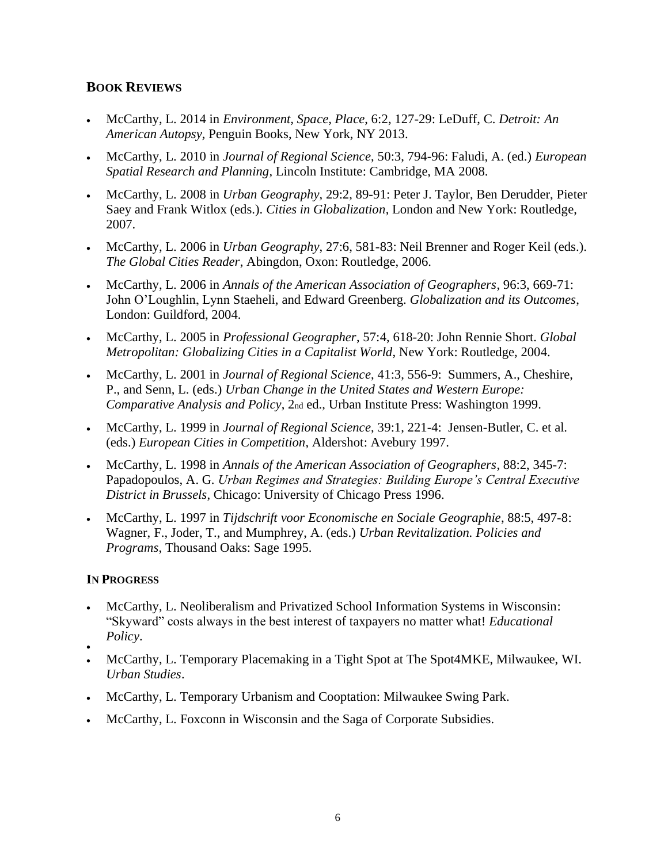## **BOOK REVIEWS**

- McCarthy, L. 2014 in *Environment, Space, Place*, 6:2, 127-29: LeDuff, C. *Detroit: An American Autopsy,* Penguin Books, New York, NY 2013.
- McCarthy, L. 2010 in *Journal of Regional Science*, 50:3, 794-96: Faludi, A. (ed.) *European Spatial Research and Planning*, Lincoln Institute: Cambridge, MA 2008.
- McCarthy, L. 2008 in *Urban Geography*, 29:2, 89-91: Peter J. Taylor, Ben Derudder, Pieter Saey and Frank Witlox (eds.). *Cities in Globalization*, London and New York: Routledge, 2007.
- McCarthy, L. 2006 in *Urban Geography*, 27:6, 581-83: Neil Brenner and Roger Keil (eds.). *The Global Cities Reader*, Abingdon, Oxon: Routledge, 2006.
- McCarthy, L. 2006 in *Annals of the American Association of Geographers*, 96:3, 669-71: John O'Loughlin, Lynn Staeheli, and Edward Greenberg. *Globalization and its Outcomes*, London: Guildford, 2004.
- McCarthy, L. 2005 in *Professional Geographer*, 57:4, 618-20: John Rennie Short. *Global Metropolitan: Globalizing Cities in a Capitalist World*, New York: Routledge, 2004.
- McCarthy, L. 2001 in *Journal of Regional Science*, 41:3, 556-9: Summers, A., Cheshire, P., and Senn, L. (eds.) *Urban Change in the United States and Western Europe: Comparative Analysis and Policy*, 2nd ed., Urban Institute Press: Washington 1999.
- McCarthy, L. 1999 in *Journal of Regional Science*, 39:1, 221-4: Jensen-Butler, C. et al. (eds.) *European Cities in Competition*, Aldershot: Avebury 1997.
- McCarthy, L. 1998 in *Annals of the American Association of Geographers*, 88:2, 345-7: Papadopoulos, A. G. *Urban Regimes and Strategies: Building Europe's Central Executive District in Brussels*, Chicago: University of Chicago Press 1996.
- McCarthy, L. 1997 in *Tijdschrift voor Economische en Sociale Geographie*, 88:5, 497-8: Wagner, F., Joder, T., and Mumphrey, A. (eds.) *Urban Revitalization. Policies and Programs*, Thousand Oaks: Sage 1995.

### **IN PROGRESS**

- McCarthy, L. Neoliberalism and Privatized School Information Systems in Wisconsin: "Skyward" costs always in the best interest of taxpayers no matter what! *Educational Policy*.
- •
- McCarthy, L. Temporary Placemaking in a Tight Spot at The Spot4MKE, Milwaukee, WI. *Urban Studies*.
- McCarthy, L. Temporary Urbanism and Cooptation: Milwaukee Swing Park.
- McCarthy, L. Foxconn in Wisconsin and the Saga of Corporate Subsidies.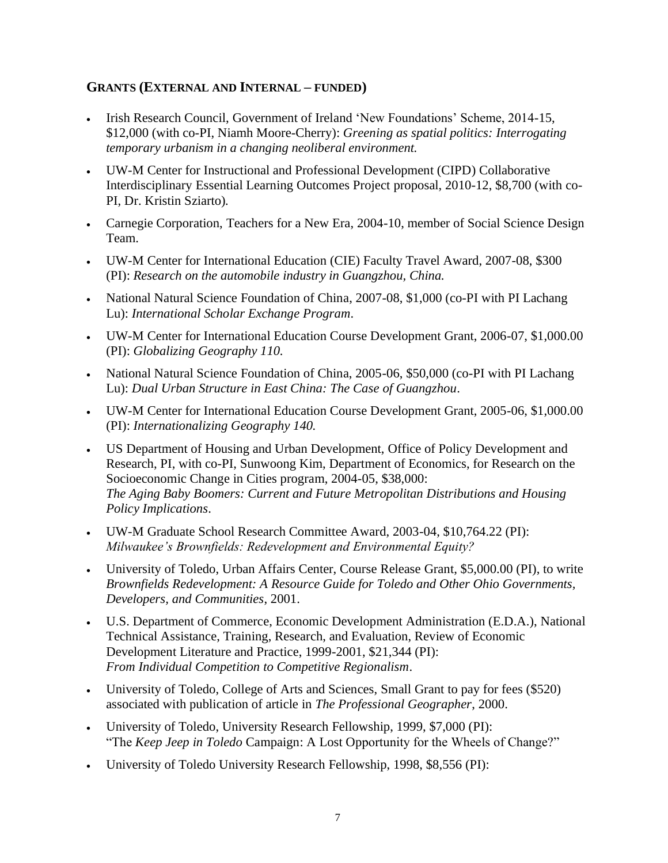### **GRANTS (EXTERNAL AND INTERNAL – FUNDED)**

- Irish Research Council, Government of Ireland 'New Foundations' Scheme, 2014-15, \$12,000 (with co-PI, Niamh Moore-Cherry): *Greening as spatial politics: Interrogating temporary urbanism in a changing neoliberal environment.*
- UW-M Center for Instructional and Professional Development (CIPD) Collaborative Interdisciplinary Essential Learning Outcomes Project proposal, 2010-12, \$8,700 (with co-PI, Dr. Kristin Sziarto)*.*
- Carnegie Corporation, Teachers for a New Era, 2004-10, member of Social Science Design Team.
- UW-M Center for International Education (CIE) Faculty Travel Award, 2007-08, \$300 (PI): *Research on the automobile industry in Guangzhou, China.*
- National Natural Science Foundation of China, 2007-08, \$1,000 (co-PI with PI Lachang Lu): *International Scholar Exchange Program*.
- UW-M Center for International Education Course Development Grant, 2006-07, \$1,000.00 (PI): *Globalizing Geography 110.*
- National Natural Science Foundation of China, 2005-06, \$50,000 (co-PI with PI Lachang Lu): *Dual Urban Structure in East China: The Case of Guangzhou*.
- UW-M Center for International Education Course Development Grant, 2005-06, \$1,000.00 (PI): *Internationalizing Geography 140.*
- US Department of Housing and Urban Development, Office of Policy Development and Research, PI, with co-PI, Sunwoong Kim, Department of Economics, for Research on the Socioeconomic Change in Cities program, 2004-05, \$38,000: *The Aging Baby Boomers: Current and Future Metropolitan Distributions and Housing Policy Implications*.
- UW-M Graduate School Research Committee Award, 2003-04, \$10,764.22 (PI): *Milwaukee's Brownfields: Redevelopment and Environmental Equity?*
- University of Toledo, Urban Affairs Center, Course Release Grant, \$5,000.00 (PI), to write *Brownfields Redevelopment: A Resource Guide for Toledo and Other Ohio Governments, Developers, and Communities*, 2001.
- U.S. Department of Commerce, Economic Development Administration (E.D.A.), National Technical Assistance, Training, Research, and Evaluation, Review of Economic Development Literature and Practice, 1999-2001, \$21,344 (PI): *From Individual Competition to Competitive Regionalism*.
- University of Toledo, College of Arts and Sciences, Small Grant to pay for fees (\$520) associated with publication of article in *The Professional Geographer*, 2000.
- University of Toledo, University Research Fellowship, 1999, \$7,000 (PI): "The *Keep Jeep in Toledo* Campaign: A Lost Opportunity for the Wheels of Change?"
- University of Toledo University Research Fellowship, 1998, \$8,556 (PI):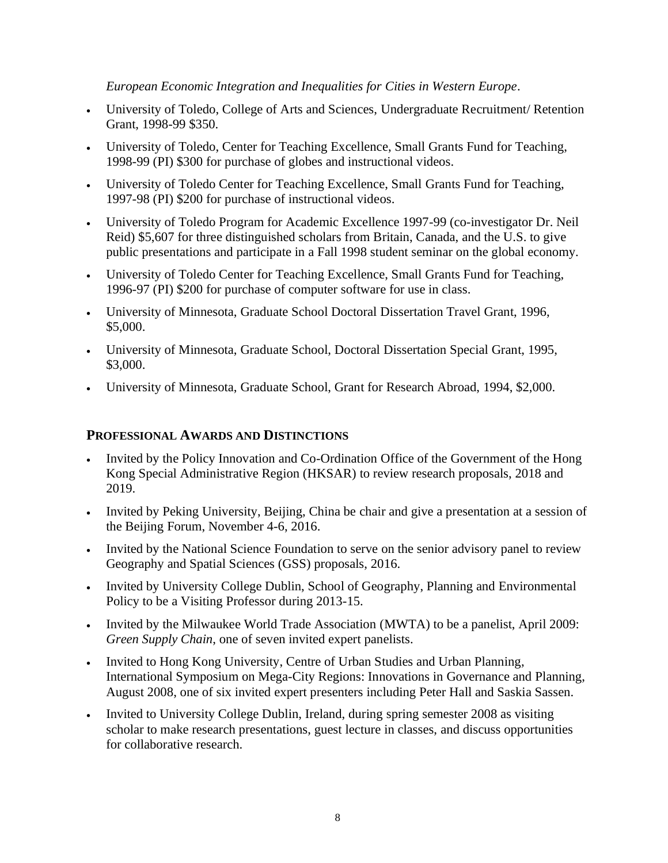#### *European Economic Integration and Inequalities for Cities in Western Europe*.

- University of Toledo, College of Arts and Sciences, Undergraduate Recruitment/ Retention Grant, 1998-99 \$350.
- University of Toledo, Center for Teaching Excellence, Small Grants Fund for Teaching, 1998-99 (PI) \$300 for purchase of globes and instructional videos.
- University of Toledo Center for Teaching Excellence, Small Grants Fund for Teaching, 1997-98 (PI) \$200 for purchase of instructional videos.
- University of Toledo Program for Academic Excellence 1997-99 (co-investigator Dr. Neil Reid) \$5,607 for three distinguished scholars from Britain, Canada, and the U.S. to give public presentations and participate in a Fall 1998 student seminar on the global economy.
- University of Toledo Center for Teaching Excellence, Small Grants Fund for Teaching, 1996-97 (PI) \$200 for purchase of computer software for use in class.
- University of Minnesota, Graduate School Doctoral Dissertation Travel Grant, 1996, \$5,000.
- University of Minnesota, Graduate School, Doctoral Dissertation Special Grant, 1995, \$3,000.
- University of Minnesota, Graduate School, Grant for Research Abroad, 1994, \$2,000.

### **PROFESSIONAL AWARDS AND DISTINCTIONS**

- Invited by the Policy Innovation and Co-Ordination Office of the Government of the Hong Kong Special Administrative Region (HKSAR) to review research proposals, 2018 and 2019.
- Invited by Peking University, Beijing, China be chair and give a presentation at a session of the Beijing Forum, November 4-6, 2016.
- Invited by the National Science Foundation to serve on the senior advisory panel to review Geography and Spatial Sciences (GSS) proposals, 2016.
- Invited by University College Dublin, School of Geography, Planning and Environmental Policy to be a Visiting Professor during 2013-15.
- Invited by the Milwaukee World Trade Association (MWTA) to be a panelist, April 2009: *Green Supply Chain*, one of seven invited expert panelists.
- Invited to Hong Kong University, Centre of Urban Studies and Urban Planning, International Symposium on Mega-City Regions: Innovations in Governance and Planning, August 2008, one of six invited expert presenters including Peter Hall and Saskia Sassen.
- Invited to University College Dublin, Ireland, during spring semester 2008 as visiting scholar to make research presentations, guest lecture in classes, and discuss opportunities for collaborative research.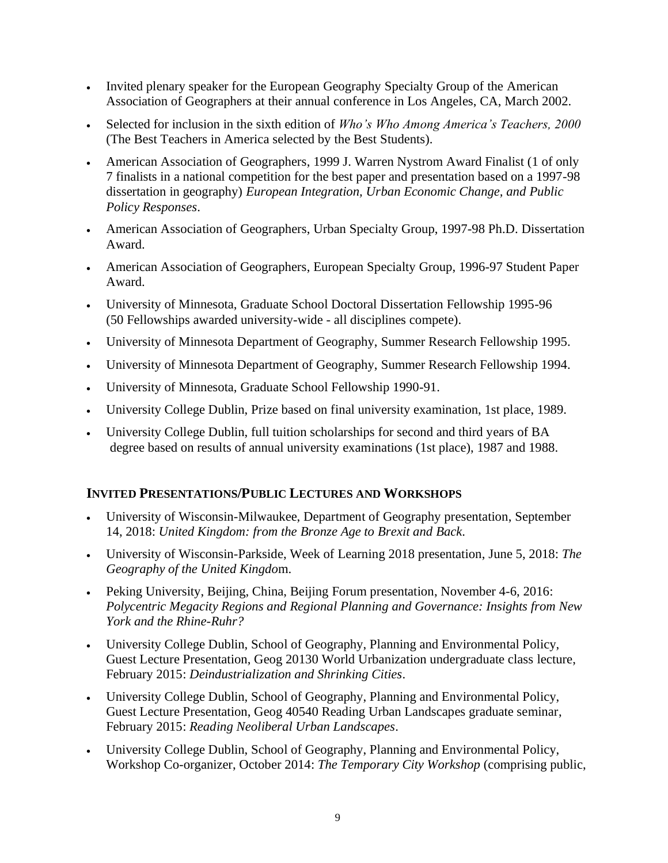- Invited plenary speaker for the European Geography Specialty Group of the American Association of Geographers at their annual conference in Los Angeles, CA, March 2002.
- Selected for inclusion in the sixth edition of *Who's Who Among America's Teachers, 2000*  (The Best Teachers in America selected by the Best Students).
- American Association of Geographers, 1999 J. Warren Nystrom Award Finalist (1 of only 7 finalists in a national competition for the best paper and presentation based on a 1997-98 dissertation in geography) *European Integration, Urban Economic Change, and Public Policy Responses*.
- American Association of Geographers, Urban Specialty Group, 1997-98 Ph.D. Dissertation Award.
- American Association of Geographers, European Specialty Group, 1996-97 Student Paper Award.
- University of Minnesota, Graduate School Doctoral Dissertation Fellowship 1995-96 (50 Fellowships awarded university-wide - all disciplines compete).
- University of Minnesota Department of Geography, Summer Research Fellowship 1995.
- University of Minnesota Department of Geography, Summer Research Fellowship 1994.
- University of Minnesota, Graduate School Fellowship 1990-91.
- University College Dublin, Prize based on final university examination, 1st place, 1989.
- University College Dublin, full tuition scholarships for second and third years of BA degree based on results of annual university examinations (1st place), 1987 and 1988.

## **INVITED PRESENTATIONS/PUBLIC LECTURES AND WORKSHOPS**

- University of Wisconsin-Milwaukee, Department of Geography presentation, September 14, 2018: *United Kingdom: from the Bronze Age to Brexit and Back*.
- University of Wisconsin-Parkside, Week of Learning 2018 presentation, June 5, 2018: *The Geography of the United Kingdo*m.
- Peking University, Beijing, China, Beijing Forum presentation, November 4-6, 2016: *Polycentric Megacity Regions and Regional Planning and Governance: Insights from New York and the Rhine-Ruhr?*
- University College Dublin, School of Geography, Planning and Environmental Policy, Guest Lecture Presentation, Geog 20130 World Urbanization undergraduate class lecture, February 2015: *Deindustrialization and Shrinking Cities*.
- University College Dublin, School of Geography, Planning and Environmental Policy, Guest Lecture Presentation, Geog 40540 Reading Urban Landscapes graduate seminar, February 2015: *Reading Neoliberal Urban Landscapes*.
- University College Dublin, School of Geography, Planning and Environmental Policy, Workshop Co-organizer, October 2014: *The Temporary City Workshop* (comprising public,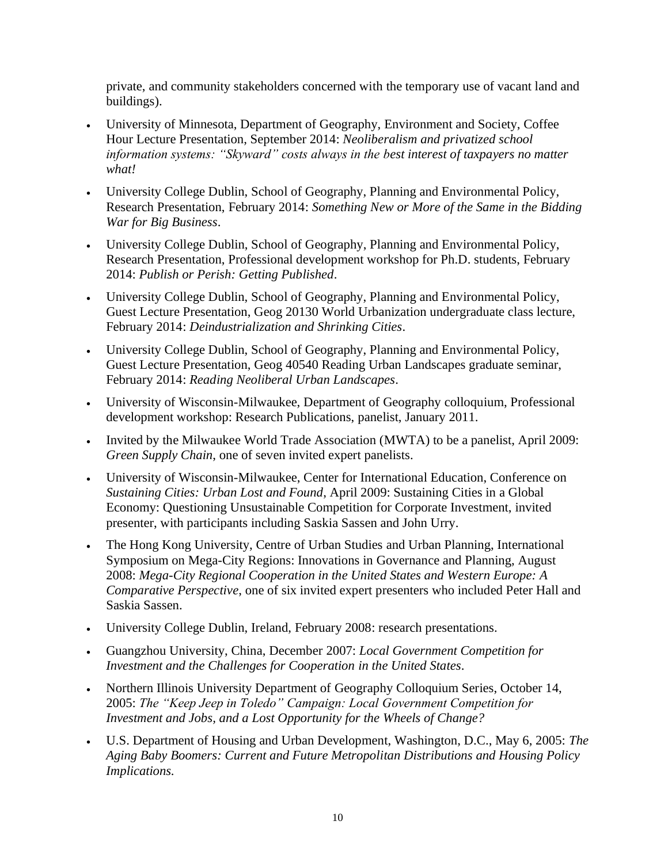private, and community stakeholders concerned with the temporary use of vacant land and buildings).

- University of Minnesota, Department of Geography, Environment and Society, Coffee Hour Lecture Presentation, September 2014: *Neoliberalism and privatized school information systems: "Skyward" costs always in the best interest of taxpayers no matter what!*
- University College Dublin, School of Geography, Planning and Environmental Policy, Research Presentation, February 2014: *Something New or More of the Same in the Bidding War for Big Business*.
- University College Dublin, School of Geography, Planning and Environmental Policy, Research Presentation, Professional development workshop for Ph.D. students, February 2014: *Publish or Perish: Getting Published*.
- University College Dublin, School of Geography, Planning and Environmental Policy, Guest Lecture Presentation, Geog 20130 World Urbanization undergraduate class lecture, February 2014: *Deindustrialization and Shrinking Cities*.
- University College Dublin, School of Geography, Planning and Environmental Policy, Guest Lecture Presentation, Geog 40540 Reading Urban Landscapes graduate seminar, February 2014: *Reading Neoliberal Urban Landscapes*.
- University of Wisconsin-Milwaukee, Department of Geography colloquium, Professional development workshop: Research Publications, panelist, January 2011.
- Invited by the Milwaukee World Trade Association (MWTA) to be a panelist, April 2009: *Green Supply Chain*, one of seven invited expert panelists.
- University of Wisconsin-Milwaukee, Center for International Education, Conference on *Sustaining Cities: Urban Lost and Found*, April 2009: Sustaining Cities in a Global Economy: Questioning Unsustainable Competition for Corporate Investment, invited presenter, with participants including Saskia Sassen and John Urry.
- The Hong Kong University, Centre of Urban Studies and Urban Planning, International Symposium on Mega-City Regions: Innovations in Governance and Planning, August 2008: *Mega-City Regional Cooperation in the United States and Western Europe: A Comparative Perspective*, one of six invited expert presenters who included Peter Hall and Saskia Sassen.
- University College Dublin, Ireland, February 2008: research presentations.
- Guangzhou University, China, December 2007: *Local Government Competition for Investment and the Challenges for Cooperation in the United States*.
- Northern Illinois University Department of Geography Colloquium Series, October 14, 2005: *The "Keep Jeep in Toledo" Campaign: Local Government Competition for Investment and Jobs, and a Lost Opportunity for the Wheels of Change?*
- U.S. Department of Housing and Urban Development, Washington, D.C., May 6, 2005: *The Aging Baby Boomers: Current and Future Metropolitan Distributions and Housing Policy Implications.*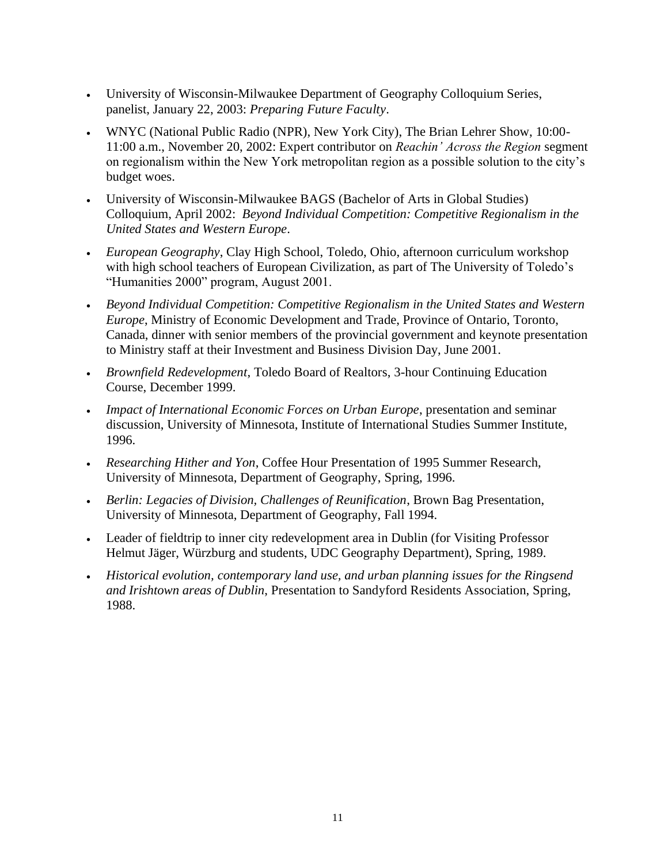- University of Wisconsin-Milwaukee Department of Geography Colloquium Series, panelist, January 22, 2003: *Preparing Future Faculty*.
- WNYC (National Public Radio (NPR), New York City), The Brian Lehrer Show, 10:00- 11:00 a.m., November 20, 2002: Expert contributor on *Reachin' Across the Region* segment on regionalism within the New York metropolitan region as a possible solution to the city's budget woes.
- University of Wisconsin-Milwaukee BAGS (Bachelor of Arts in Global Studies) Colloquium, April 2002: *Beyond Individual Competition: Competitive Regionalism in the United States and Western Europe*.
- *European Geography*, Clay High School, Toledo, Ohio, afternoon curriculum workshop with high school teachers of European Civilization, as part of The University of Toledo's "Humanities 2000" program, August 2001.
- *Beyond Individual Competition: Competitive Regionalism in the United States and Western Europe*, Ministry of Economic Development and Trade, Province of Ontario, Toronto, Canada, dinner with senior members of the provincial government and keynote presentation to Ministry staff at their Investment and Business Division Day, June 2001.
- *Brownfield Redevelopment*, Toledo Board of Realtors, 3-hour Continuing Education Course, December 1999.
- *Impact of International Economic Forces on Urban Europe*, presentation and seminar discussion, University of Minnesota, Institute of International Studies Summer Institute, 1996.
- *Researching Hither and Yon*, Coffee Hour Presentation of 1995 Summer Research, University of Minnesota, Department of Geography, Spring, 1996.
- *Berlin: Legacies of Division, Challenges of Reunification*, Brown Bag Presentation, University of Minnesota, Department of Geography, Fall 1994.
- Leader of fieldtrip to inner city redevelopment area in Dublin (for Visiting Professor Helmut Jäger, Würzburg and students, UDC Geography Department), Spring, 1989.
- *Historical evolution, contemporary land use, and urban planning issues for the Ringsend and Irishtown areas of Dublin*, Presentation to Sandyford Residents Association, Spring, 1988.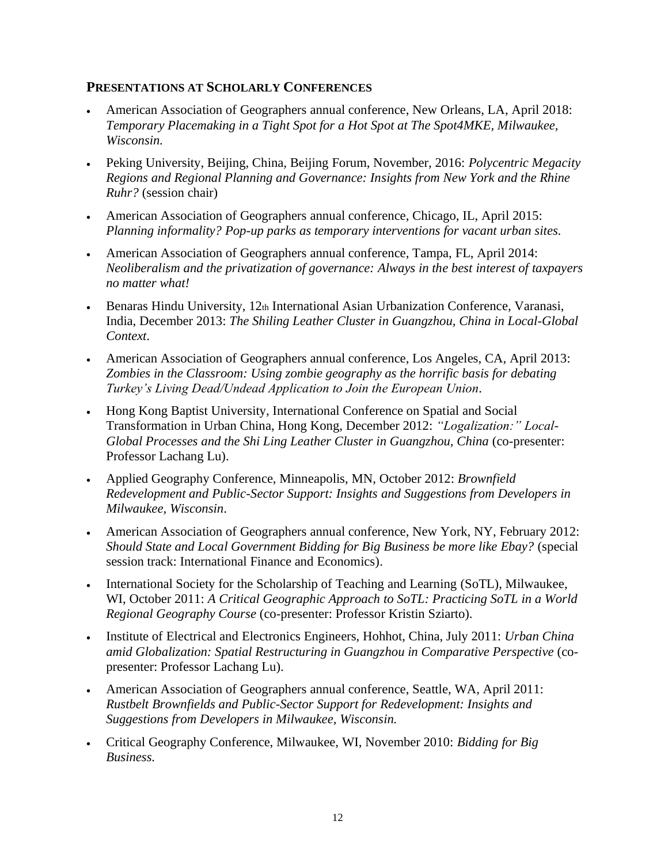#### **PRESENTATIONS AT SCHOLARLY CONFERENCES**

- American Association of Geographers annual conference, New Orleans, LA, April 2018: *Temporary Placemaking in a Tight Spot for a Hot Spot at The Spot4MKE, Milwaukee, Wisconsin.*
- Peking University, Beijing, China, Beijing Forum, November, 2016: *Polycentric Megacity Regions and Regional Planning and Governance: Insights from New York and the Rhine Ruhr?* (session chair)
- American Association of Geographers annual conference, Chicago, IL, April 2015: *Planning informality? Pop-up parks as temporary interventions for vacant urban sites.*
- American Association of Geographers annual conference, Tampa, FL, April 2014: *Neoliberalism and the privatization of governance: Always in the best interest of taxpayers no matter what!*
- Benaras Hindu University, 12th International Asian Urbanization Conference, Varanasi, India, December 2013: *The Shiling Leather Cluster in Guangzhou, China in Local-Global Context*.
- American Association of Geographers annual conference, Los Angeles, CA, April 2013: *Zombies in the Classroom: Using zombie geography as the horrific basis for debating Turkey's Living Dead/Undead Application to Join the European Union.*
- Hong Kong Baptist University, International Conference on Spatial and Social Transformation in Urban China, Hong Kong, December 2012: *"Logalization:" Local-Global Processes and the Shi Ling Leather Cluster in Guangzhou, China (co-presenter:* Professor Lachang Lu).
- Applied Geography Conference, Minneapolis, MN, October 2012: *Brownfield Redevelopment and Public-Sector Support: Insights and Suggestions from Developers in Milwaukee, Wisconsin*.
- American Association of Geographers annual conference, New York, NY, February 2012: *Should State and Local Government Bidding for Big Business be more like Ebay?* (special session track: International Finance and Economics).
- International Society for the Scholarship of Teaching and Learning (SoTL), Milwaukee, WI, October 2011: *A Critical Geographic Approach to SoTL: Practicing SoTL in a World Regional Geography Course* (co-presenter: Professor Kristin Sziarto).
- Institute of Electrical and Electronics Engineers, Hohhot, China, July 2011: *Urban China amid Globalization: Spatial Restructuring in Guangzhou in Comparative Perspective* (copresenter: Professor Lachang Lu).
- American Association of Geographers annual conference, Seattle, WA, April 2011: *Rustbelt Brownfields and Public-Sector Support for Redevelopment: Insights and Suggestions from Developers in Milwaukee, Wisconsin.*
- Critical Geography Conference, Milwaukee, WI, November 2010: *Bidding for Big Business.*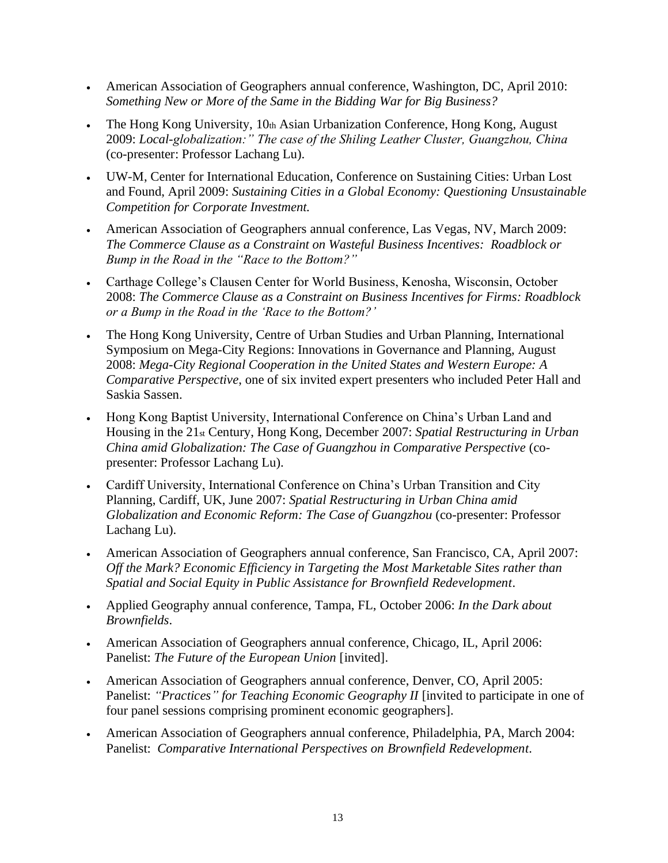- American Association of Geographers annual conference, Washington, DC, April 2010: *Something New or More of the Same in the Bidding War for Big Business?*
- The Hong Kong University, 10th Asian Urbanization Conference, Hong Kong, August 2009: *Local-globalization:" The case of the Shiling Leather Cluster, Guangzhou, China* (co-presenter: Professor Lachang Lu).
- UW-M, Center for International Education, Conference on Sustaining Cities: Urban Lost and Found, April 2009: *Sustaining Cities in a Global Economy: Questioning Unsustainable Competition for Corporate Investment.*
- American Association of Geographers annual conference, Las Vegas, NV, March 2009: *The Commerce Clause as a Constraint on Wasteful Business Incentives: Roadblock or Bump in the Road in the "Race to the Bottom?"*
- Carthage College's Clausen Center for World Business, Kenosha, Wisconsin, October 2008: *The Commerce Clause as a Constraint on Business Incentives for Firms: Roadblock or a Bump in the Road in the 'Race to the Bottom?'*
- The Hong Kong University, Centre of Urban Studies and Urban Planning, International Symposium on Mega-City Regions: Innovations in Governance and Planning, August 2008: *Mega-City Regional Cooperation in the United States and Western Europe: A Comparative Perspective*, one of six invited expert presenters who included Peter Hall and Saskia Sassen.
- Hong Kong Baptist University, International Conference on China's Urban Land and Housing in the 21st Century, Hong Kong, December 2007: *Spatial Restructuring in Urban China amid Globalization: The Case of Guangzhou in Comparative Perspective* (copresenter: Professor Lachang Lu).
- Cardiff University, International Conference on China's Urban Transition and City Planning, Cardiff, UK, June 2007: *Spatial Restructuring in Urban China amid Globalization and Economic Reform: The Case of Guangzhou* (co-presenter: Professor Lachang Lu).
- American Association of Geographers annual conference, San Francisco, CA, April 2007: *Off the Mark? Economic Efficiency in Targeting the Most Marketable Sites rather than Spatial and Social Equity in Public Assistance for Brownfield Redevelopment*.
- Applied Geography annual conference, Tampa, FL, October 2006: *In the Dark about Brownfields*.
- American Association of Geographers annual conference, Chicago, IL, April 2006: Panelist: *The Future of the European Union* [invited].
- American Association of Geographers annual conference, Denver, CO, April 2005: Panelist: *"Practices" for Teaching Economic Geography II* [invited to participate in one of four panel sessions comprising prominent economic geographers].
- American Association of Geographers annual conference, Philadelphia, PA, March 2004: Panelist: *Comparative International Perspectives on Brownfield Redevelopment*.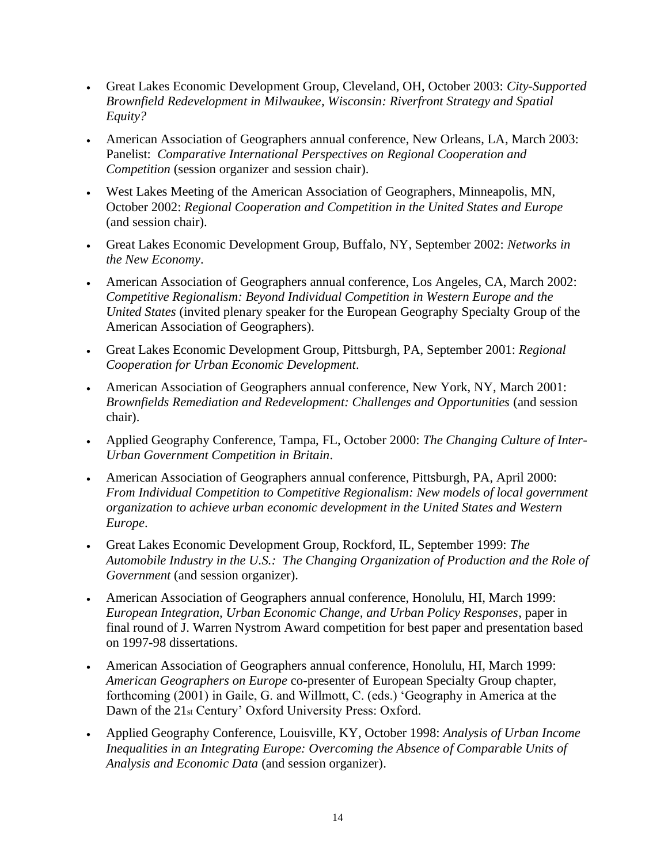- Great Lakes Economic Development Group, Cleveland, OH, October 2003: *City-Supported Brownfield Redevelopment in Milwaukee, Wisconsin: Riverfront Strategy and Spatial Equity?*
- American Association of Geographers annual conference, New Orleans, LA, March 2003: Panelist: *Comparative International Perspectives on Regional Cooperation and Competition* (session organizer and session chair).
- West Lakes Meeting of the American Association of Geographers, Minneapolis, MN, October 2002: *Regional Cooperation and Competition in the United States and Europe* (and session chair).
- Great Lakes Economic Development Group, Buffalo, NY, September 2002: *Networks in the New Economy*.
- American Association of Geographers annual conference, Los Angeles, CA, March 2002: *Competitive Regionalism: Beyond Individual Competition in Western Europe and the United States* (invited plenary speaker for the European Geography Specialty Group of the American Association of Geographers).
- Great Lakes Economic Development Group, Pittsburgh, PA, September 2001: *Regional Cooperation for Urban Economic Development*.
- American Association of Geographers annual conference, New York, NY, March 2001: *Brownfields Remediation and Redevelopment: Challenges and Opportunities* (and session chair).
- Applied Geography Conference, Tampa, FL, October 2000: *The Changing Culture of Inter-Urban Government Competition in Britain*.
- American Association of Geographers annual conference, Pittsburgh, PA, April 2000: *From Individual Competition to Competitive Regionalism: New models of local government organization to achieve urban economic development in the United States and Western Europe*.
- Great Lakes Economic Development Group, Rockford, IL, September 1999: *The Automobile Industry in the U.S.: The Changing Organization of Production and the Role of Government* (and session organizer).
- American Association of Geographers annual conference, Honolulu, HI, March 1999: *European Integration, Urban Economic Change, and Urban Policy Responses*, paper in final round of J. Warren Nystrom Award competition for best paper and presentation based on 1997-98 dissertations.
- American Association of Geographers annual conference, Honolulu, HI, March 1999: *American Geographers on Europe* co-presenter of European Specialty Group chapter, forthcoming (2001) in Gaile, G. and Willmott, C. (eds.) 'Geography in America at the Dawn of the 21st Century' Oxford University Press: Oxford.
- Applied Geography Conference, Louisville, KY, October 1998: *Analysis of Urban Income Inequalities in an Integrating Europe: Overcoming the Absence of Comparable Units of Analysis and Economic Data* (and session organizer).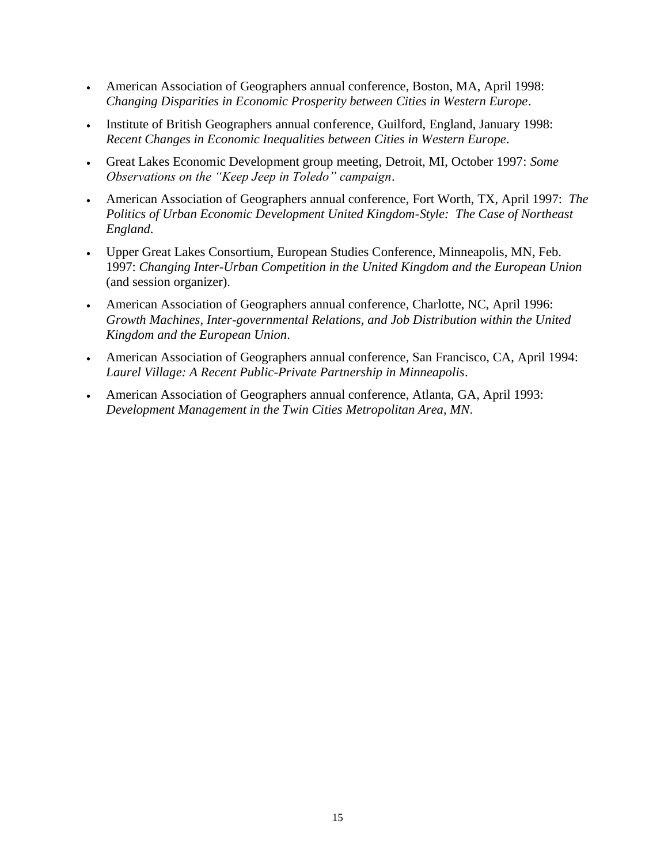- American Association of Geographers annual conference, Boston, MA, April 1998: *Changing Disparities in Economic Prosperity between Cities in Western Europe*.
- Institute of British Geographers annual conference, Guilford, England, January 1998: *Recent Changes in Economic Inequalities between Cities in Western Europe*.
- Great Lakes Economic Development group meeting, Detroit, MI, October 1997: *Some Observations on the "Keep Jeep in Toledo" campaign*.
- American Association of Geographers annual conference, Fort Worth, TX, April 1997: *The Politics of Urban Economic Development United Kingdom-Style: The Case of Northeast England*.
- Upper Great Lakes Consortium, European Studies Conference, Minneapolis, MN, Feb. 1997: *Changing Inter-Urban Competition in the United Kingdom and the European Union* (and session organizer).
- American Association of Geographers annual conference, Charlotte, NC, April 1996: *Growth Machines, Inter-governmental Relations, and Job Distribution within the United Kingdom and the European Union*.
- American Association of Geographers annual conference, San Francisco, CA, April 1994: *Laurel Village: A Recent Public-Private Partnership in Minneapolis*.
- American Association of Geographers annual conference, Atlanta, GA, April 1993: *Development Management in the Twin Cities Metropolitan Area, MN*.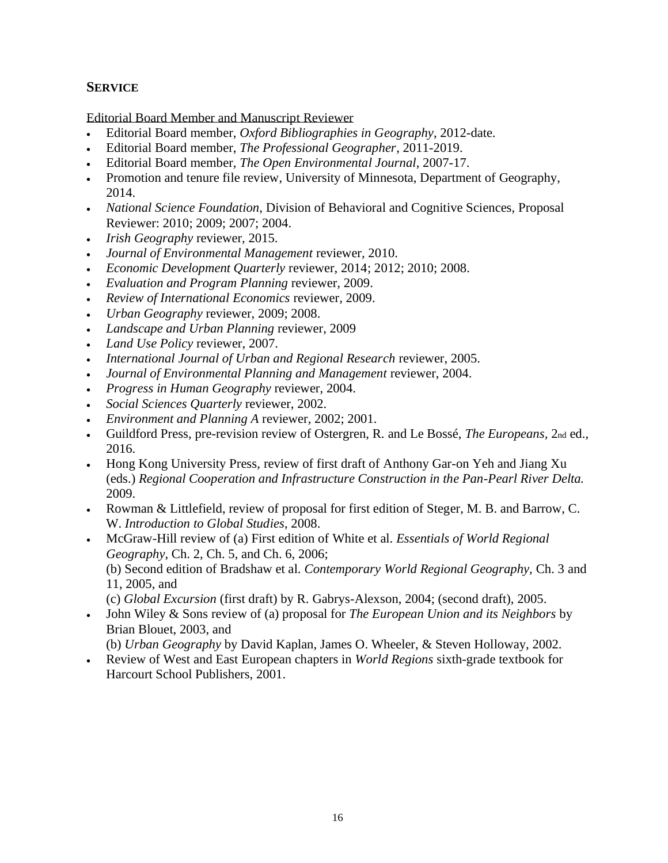### **SERVICE**

Editorial Board Member and Manuscript Reviewer

- Editorial Board member, *Oxford Bibliographies in Geography*, 2012-date.
- Editorial Board member, *The Professional Geographer*, 2011-2019.
- Editorial Board member, *The Open Environmental Journal*, 2007-17.
- Promotion and tenure file review, University of Minnesota, Department of Geography, 2014.
- *National Science Foundation*, Division of Behavioral and Cognitive Sciences, Proposal Reviewer: 2010; 2009; 2007; 2004.
- *Irish Geography* reviewer*,* 2015.
- *Journal of Environmental Management* reviewer*,* 2010.
- *Economic Development Quarterly* reviewer, 2014; 2012; 2010; 2008.
- *Evaluation and Program Planning* reviewer*,* 2009.
- *Review of International Economics* reviewer*,* 2009.
- *Urban Geography* reviewer, 2009; 2008.
- *Landscape and Urban Planning* reviewer, 2009
- *Land Use Policy* reviewer, 2007.
- *International Journal of Urban and Regional Research* reviewer, 2005.
- *Journal of Environmental Planning and Management* reviewer, 2004.
- *Progress in Human Geography* reviewer, 2004.
- *Social Sciences Quarterly* reviewer, 2002.
- *Environment and Planning A* reviewer, 2002; 2001.
- Guildford Press, pre-revision review of Ostergren, R. and Le Bossé, *The Europeans,* 2nd ed., 2016.
- Hong Kong University Press, review of first draft of Anthony Gar-on Yeh and Jiang Xu (eds.) *Regional Cooperation and Infrastructure Construction in the Pan-Pearl River Delta.* 2009.
- Rowman & Littlefield, review of proposal for first edition of Steger, M. B. and Barrow, C. W. *Introduction to Global Studies*, 2008.
- McGraw-Hill review of (a) First edition of White et al. *Essentials of World Regional Geography*, Ch. 2, Ch. 5, and Ch. 6, 2006; (b) Second edition of Bradshaw et al. *Contemporary World Regional Geography,* Ch. 3 and 11, 2005, and

(c) *Global Excursion* (first draft) by R. Gabrys-Alexson, 2004; (second draft), 2005.

• John Wiley & Sons review of (a) proposal for *The European Union and its Neighbors* by Brian Blouet, 2003, and

(b) *Urban Geography* by David Kaplan, James O. Wheeler, & Steven Holloway, 2002.

• Review of West and East European chapters in *World Regions* sixth-grade textbook for Harcourt School Publishers, 2001.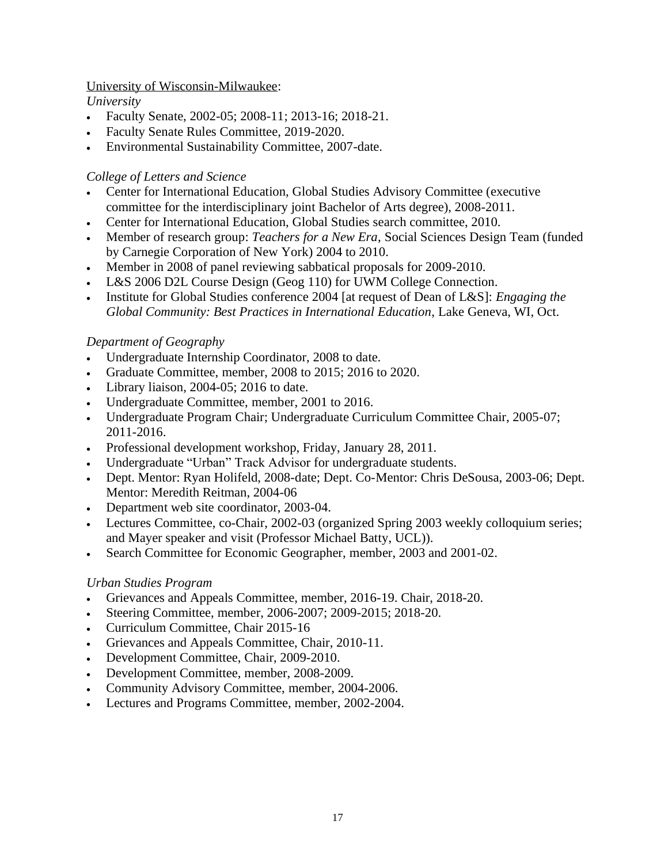#### University of Wisconsin-Milwaukee:

*University*

- Faculty Senate, 2002-05; 2008-11; 2013-16; 2018-21.
- Faculty Senate Rules Committee, 2019-2020.
- Environmental Sustainability Committee, 2007-date.

### *College of Letters and Science*

- Center for International Education, Global Studies Advisory Committee (executive committee for the interdisciplinary joint Bachelor of Arts degree), 2008-2011.
- Center for International Education, Global Studies search committee, 2010.
- Member of research group: *Teachers for a New Era*, Social Sciences Design Team (funded by Carnegie Corporation of New York) 2004 to 2010.
- Member in 2008 of panel reviewing sabbatical proposals for 2009-2010.
- L&S 2006 D2L Course Design (Geog 110) for UWM College Connection.
- Institute for Global Studies conference 2004 [at request of Dean of L&S]: *Engaging the Global Community: Best Practices in International Education*, Lake Geneva, WI, Oct.

### *Department of Geography*

- Undergraduate Internship Coordinator, 2008 to date.
- Graduate Committee, member, 2008 to 2015; 2016 to 2020.
- Library liaison, 2004-05; 2016 to date.
- Undergraduate Committee, member, 2001 to 2016.
- Undergraduate Program Chair; Undergraduate Curriculum Committee Chair, 2005-07; 2011-2016.
- Professional development workshop, Friday, January 28, 2011.
- Undergraduate "Urban" Track Advisor for undergraduate students.
- Dept. Mentor: Ryan Holifeld, 2008-date; Dept. Co-Mentor: Chris DeSousa, 2003-06; Dept. Mentor: Meredith Reitman, 2004-06
- Department web site coordinator, 2003-04.
- Lectures Committee, co-Chair, 2002-03 (organized Spring 2003 weekly colloquium series; and Mayer speaker and visit (Professor Michael Batty, UCL)).
- Search Committee for Economic Geographer, member, 2003 and 2001-02.

### *Urban Studies Program*

- Grievances and Appeals Committee, member, 2016-19. Chair, 2018-20.
- Steering Committee, member, 2006-2007; 2009-2015; 2018-20.
- Curriculum Committee, Chair 2015-16
- Grievances and Appeals Committee, Chair, 2010-11.
- Development Committee, Chair, 2009-2010.
- Development Committee, member, 2008-2009.
- Community Advisory Committee, member, 2004-2006.
- Lectures and Programs Committee, member, 2002-2004.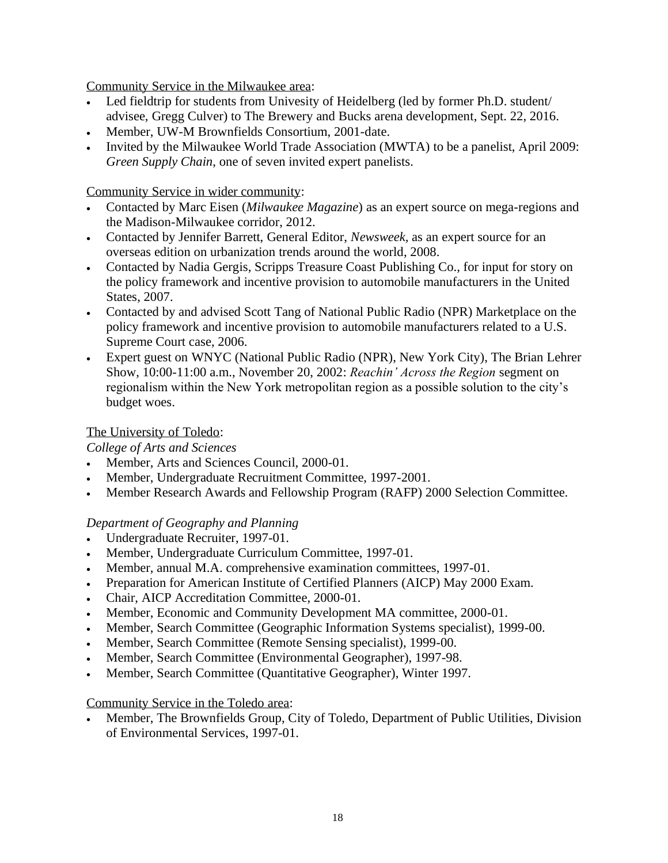Community Service in the Milwaukee area:

- Led fieldtrip for students from Univesity of Heidelberg (led by former Ph.D. student/ advisee, Gregg Culver) to The Brewery and Bucks arena development, Sept. 22, 2016.
- Member, UW-M Brownfields Consortium, 2001-date.
- Invited by the Milwaukee World Trade Association (MWTA) to be a panelist, April 2009: *Green Supply Chain*, one of seven invited expert panelists.

Community Service in wider community:

- Contacted by Marc Eisen (*Milwaukee Magazine*) as an expert source on mega-regions and the Madison-Milwaukee corridor, 2012.
- Contacted by Jennifer Barrett, General Editor, *Newsweek,* as an expert source for an overseas edition on urbanization trends around the world, 2008.
- Contacted by Nadia Gergis, Scripps Treasure Coast Publishing Co., for input for story on the policy framework and incentive provision to automobile manufacturers in the United States, 2007.
- Contacted by and advised Scott Tang of National Public Radio (NPR) Marketplace on the policy framework and incentive provision to automobile manufacturers related to a U.S. Supreme Court case, 2006.
- Expert guest on WNYC (National Public Radio (NPR), New York City), The Brian Lehrer Show, 10:00-11:00 a.m., November 20, 2002: *Reachin' Across the Region* segment on regionalism within the New York metropolitan region as a possible solution to the city's budget woes.

### The University of Toledo:

*College of Arts and Sciences*

- Member, Arts and Sciences Council, 2000-01.
- Member, Undergraduate Recruitment Committee, 1997-2001.
- Member Research Awards and Fellowship Program (RAFP) 2000 Selection Committee.

### *Department of Geography and Planning*

- Undergraduate Recruiter, 1997-01.
- Member, Undergraduate Curriculum Committee, 1997-01.
- Member, annual M.A. comprehensive examination committees, 1997-01.
- Preparation for American Institute of Certified Planners (AICP) May 2000 Exam.
- Chair, AICP Accreditation Committee, 2000-01.
- Member, Economic and Community Development MA committee, 2000-01.
- Member, Search Committee (Geographic Information Systems specialist), 1999-00.
- Member, Search Committee (Remote Sensing specialist), 1999-00.
- Member, Search Committee (Environmental Geographer), 1997-98.
- Member, Search Committee (Quantitative Geographer), Winter 1997.

### Community Service in the Toledo area:

• Member, The Brownfields Group, City of Toledo, Department of Public Utilities, Division of Environmental Services, 1997-01.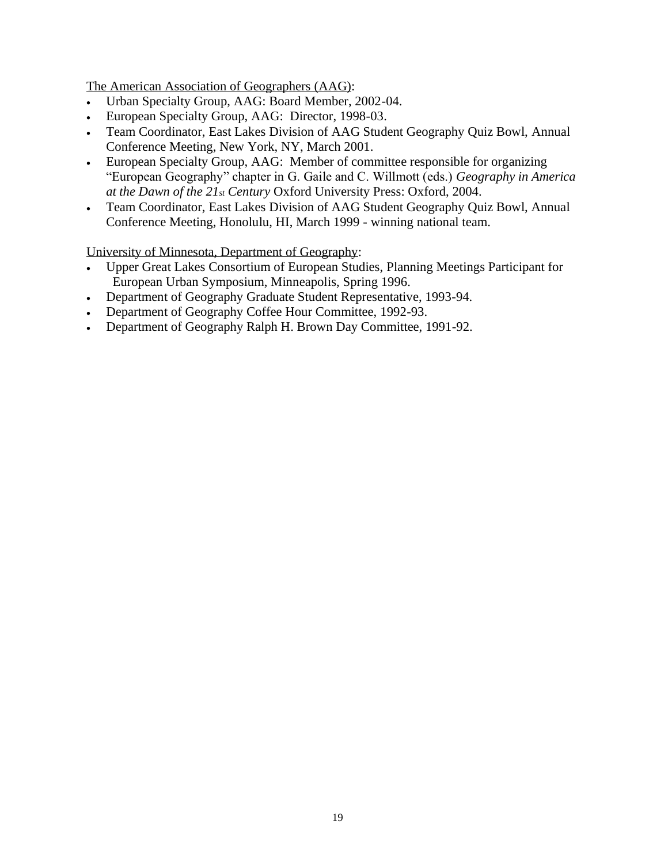The American Association of Geographers (AAG):

- Urban Specialty Group, AAG: Board Member, 2002-04.
- European Specialty Group, AAG: Director, 1998-03.
- Team Coordinator, East Lakes Division of AAG Student Geography Quiz Bowl, Annual Conference Meeting, New York, NY, March 2001.
- European Specialty Group, AAG: Member of committee responsible for organizing "European Geography" chapter in G. Gaile and C. Willmott (eds.) *Geography in America at the Dawn of the 21st Century* Oxford University Press: Oxford, 2004.
- Team Coordinator, East Lakes Division of AAG Student Geography Quiz Bowl, Annual Conference Meeting, Honolulu, HI, March 1999 - winning national team.

University of Minnesota, Department of Geography:

- Upper Great Lakes Consortium of European Studies, Planning Meetings Participant for European Urban Symposium, Minneapolis, Spring 1996.
- Department of Geography Graduate Student Representative, 1993-94.
- Department of Geography Coffee Hour Committee, 1992-93.
- Department of Geography Ralph H. Brown Day Committee, 1991-92.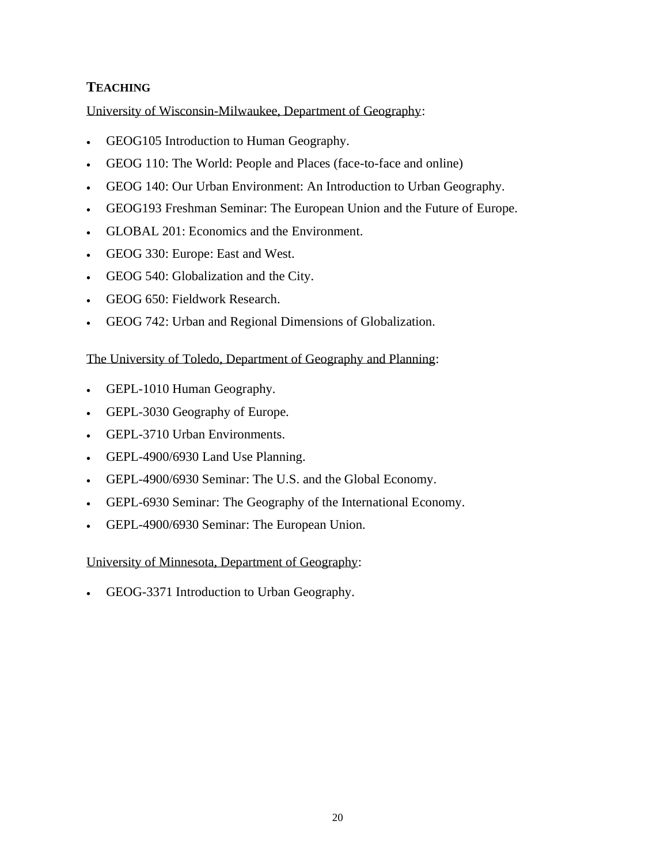# **TEACHING**

University of Wisconsin-Milwaukee, Department of Geography:

- GEOG105 Introduction to Human Geography.
- GEOG 110: The World: People and Places (face-to-face and online)
- GEOG 140: Our Urban Environment: An Introduction to Urban Geography.
- GEOG193 Freshman Seminar: The European Union and the Future of Europe.
- GLOBAL 201: Economics and the Environment.
- GEOG 330: Europe: East and West.
- GEOG 540: Globalization and the City.
- GEOG 650: Fieldwork Research.
- GEOG 742: Urban and Regional Dimensions of Globalization.

### The University of Toledo, Department of Geography and Planning:

- GEPL-1010 Human Geography.
- GEPL-3030 Geography of Europe.
- GEPL-3710 Urban Environments.
- GEPL-4900/6930 Land Use Planning.
- GEPL-4900/6930 Seminar: The U.S. and the Global Economy.
- GEPL-6930 Seminar: The Geography of the International Economy.
- GEPL-4900/6930 Seminar: The European Union.

University of Minnesota, Department of Geography:

• GEOG-3371 Introduction to Urban Geography.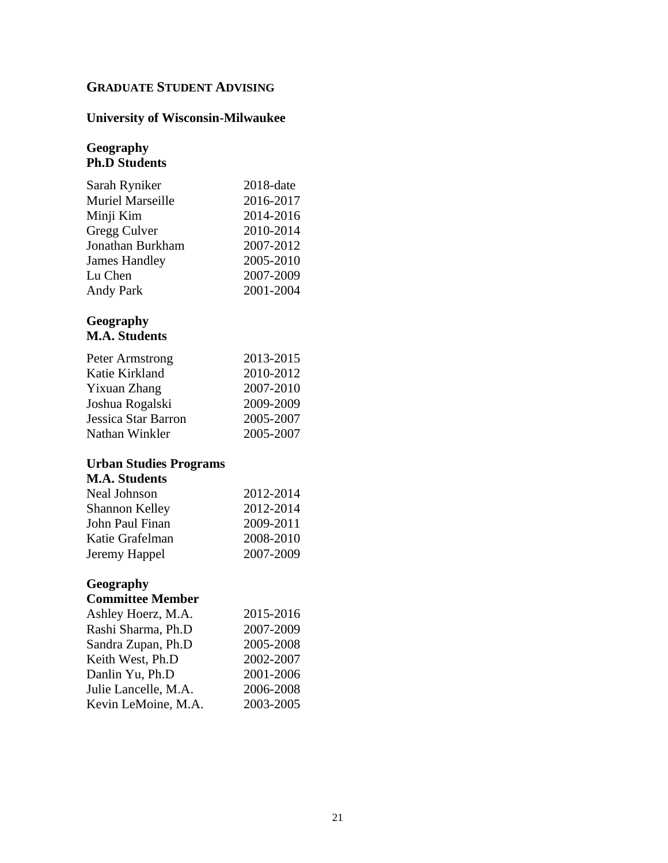# **GRADUATE STUDENT ADVISING**

# **University of Wisconsin-Milwaukee**

### **Geography Ph.D Students**

| Sarah Ryniker           | 2018-date |
|-------------------------|-----------|
| <b>Muriel Marseille</b> | 2016-2017 |
| Minji Kim               | 2014-2016 |
| Gregg Culver            | 2010-2014 |
| Jonathan Burkham        | 2007-2012 |
| <b>James Handley</b>    | 2005-2010 |
| Lu Chen                 | 2007-2009 |
| <b>Andy Park</b>        | 2001-2004 |

#### **Geography M.A. Students**

| Peter Armstrong     | 2013-2015 |
|---------------------|-----------|
| Katie Kirkland      | 2010-2012 |
| Yixuan Zhang        | 2007-2010 |
| Joshua Rogalski     | 2009-2009 |
| Jessica Star Barron | 2005-2007 |
| Nathan Winkler      | 2005-2007 |

## **Urban Studies Programs**

# **M.A. Students**

| Neal Johnson          | 2012-2014 |
|-----------------------|-----------|
| <b>Shannon Kelley</b> | 2012-2014 |
| John Paul Finan       | 2009-2011 |
| Katie Grafelman       | 2008-2010 |
| Jeremy Happel         | 2007-2009 |
|                       |           |

### **Geography Committee Member**

| Ashley Hoerz, M.A.   | 2015-2016 |
|----------------------|-----------|
| Rashi Sharma, Ph.D   | 2007-2009 |
| Sandra Zupan, Ph.D   | 2005-2008 |
| Keith West, Ph.D     | 2002-2007 |
| Danlin Yu, Ph.D      | 2001-2006 |
| Julie Lancelle, M.A. | 2006-2008 |
| Kevin LeMoine, M.A.  | 2003-2005 |
|                      |           |